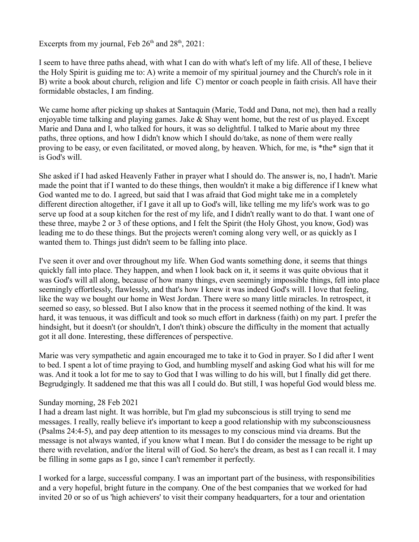Excerpts from my journal, Feb  $26<sup>th</sup>$  and  $28<sup>th</sup>$ ,  $2021$ :

I seem to have three paths ahead, with what I can do with what's left of my life. All of these, I believe the Holy Spirit is guiding me to: A) write a memoir of my spiritual journey and the Church's role in it B) write a book about church, religion and life C) mentor or coach people in faith crisis. All have their formidable obstacles, I am finding.

We came home after picking up shakes at Santaquin (Marie, Todd and Dana, not me), then had a really enjoyable time talking and playing games. Jake  $\&$  Shay went home, but the rest of us played. Except Marie and Dana and I, who talked for hours, it was so delightful. I talked to Marie about my three paths, three options, and how I didn't know which I should do/take, as none of them were really proving to be easy, or even facilitated, or moved along, by heaven. Which, for me, is \*the\* sign that it is God's will.

She asked if I had asked Heavenly Father in prayer what I should do. The answer is, no, I hadn't. Marie made the point that if I wanted to do these things, then wouldn't it make a big difference if I knew what God wanted me to do. I agreed, but said that I was afraid that God might take me in a completely different direction altogether, if I gave it all up to God's will, like telling me my life's work was to go serve up food at a soup kitchen for the rest of my life, and I didn't really want to do that. I want one of these three, maybe 2 or 3 of these options, and I felt the Spirit (the Holy Ghost, you know, God) was leading me to do these things. But the projects weren't coming along very well, or as quickly as I wanted them to. Things just didn't seem to be falling into place.

I've seen it over and over throughout my life. When God wants something done, it seems that things quickly fall into place. They happen, and when I look back on it, it seems it was quite obvious that it was God's will all along, because of how many things, even seemingly impossible things, fell into place seemingly effortlessly, flawlessly, and that's how I knew it was indeed God's will. I love that feeling, like the way we bought our home in West Jordan. There were so many little miracles. In retrospect, it seemed so easy, so blessed. But I also know that in the process it seemed nothing of the kind. It was hard, it was tenuous, it was difficult and took so much effort in darkness (faith) on my part. I prefer the hindsight, but it doesn't (or shouldn't, I don't think) obscure the difficulty in the moment that actually got it all done. Interesting, these differences of perspective.

Marie was very sympathetic and again encouraged me to take it to God in prayer. So I did after I went to bed. I spent a lot of time praying to God, and humbling myself and asking God what his will for me was. And it took a lot for me to say to God that I was willing to do his will, but I finally did get there. Begrudgingly. It saddened me that this was all I could do. But still, I was hopeful God would bless me.

## Sunday morning, 28 Feb 2021

I had a dream last night. It was horrible, but I'm glad my subconscious is still trying to send me messages. I really, really believe it's important to keep a good relationship with my subconsciousness (Psalms 24:4-5), and pay deep attention to its messages to my conscious mind via dreams. But the message is not always wanted, if you know what I mean. But I do consider the message to be right up there with revelation, and/or the literal will of God. So here's the dream, as best as I can recall it. I may be filling in some gaps as I go, since I can't remember it perfectly.

I worked for a large, successful company. I was an important part of the business, with responsibilities and a very hopeful, bright future in the company. One of the best companies that we worked for had invited 20 or so of us 'high achievers' to visit their company headquarters, for a tour and orientation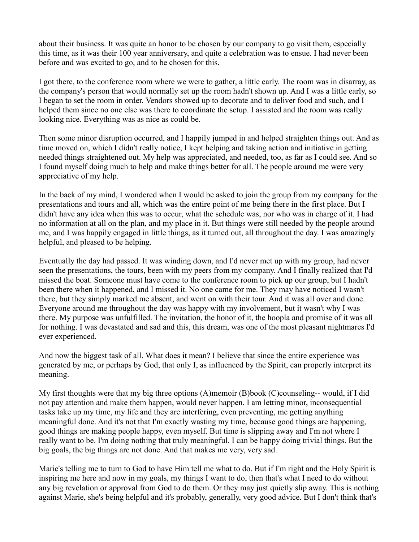about their business. It was quite an honor to be chosen by our company to go visit them, especially this time, as it was their 100 year anniversary, and quite a celebration was to ensue. I had never been before and was excited to go, and to be chosen for this.

I got there, to the conference room where we were to gather, a little early. The room was in disarray, as the company's person that would normally set up the room hadn't shown up. And I was a little early, so I began to set the room in order. Vendors showed up to decorate and to deliver food and such, and I helped them since no one else was there to coordinate the setup. I assisted and the room was really looking nice. Everything was as nice as could be.

Then some minor disruption occurred, and I happily jumped in and helped straighten things out. And as time moved on, which I didn't really notice, I kept helping and taking action and initiative in getting needed things straightened out. My help was appreciated, and needed, too, as far as I could see. And so I found myself doing much to help and make things better for all. The people around me were very appreciative of my help.

In the back of my mind, I wondered when I would be asked to join the group from my company for the presentations and tours and all, which was the entire point of me being there in the first place. But I didn't have any idea when this was to occur, what the schedule was, nor who was in charge of it. I had no information at all on the plan, and my place in it. But things were still needed by the people around me, and I was happily engaged in little things, as it turned out, all throughout the day. I was amazingly helpful, and pleased to be helping.

Eventually the day had passed. It was winding down, and I'd never met up with my group, had never seen the presentations, the tours, been with my peers from my company. And I finally realized that I'd missed the boat. Someone must have come to the conference room to pick up our group, but I hadn't been there when it happened, and I missed it. No one came for me. They may have noticed I wasn't there, but they simply marked me absent, and went on with their tour. And it was all over and done. Everyone around me throughout the day was happy with my involvement, but it wasn't why I was there. My purpose was unfulfilled. The invitation, the honor of it, the hoopla and promise of it was all for nothing. I was devastated and sad and this, this dream, was one of the most pleasant nightmares I'd ever experienced.

And now the biggest task of all. What does it mean? I believe that since the entire experience was generated by me, or perhaps by God, that only I, as influenced by the Spirit, can properly interpret its meaning.

My first thoughts were that my big three options (A)memoir (B)book (C)counseling-- would, if I did not pay attention and make them happen, would never happen. I am letting minor, inconsequential tasks take up my time, my life and they are interfering, even preventing, me getting anything meaningful done. And it's not that I'm exactly wasting my time, because good things are happening, good things are making people happy, even myself. But time is slipping away and I'm not where I really want to be. I'm doing nothing that truly meaningful. I can be happy doing trivial things. But the big goals, the big things are not done. And that makes me very, very sad.

Marie's telling me to turn to God to have Him tell me what to do. But if I'm right and the Holy Spirit is inspiring me here and now in my goals, my things I want to do, then that's what I need to do without any big revelation or approval from God to do them. Or they may just quietly slip away. This is nothing against Marie, she's being helpful and it's probably, generally, very good advice. But I don't think that's